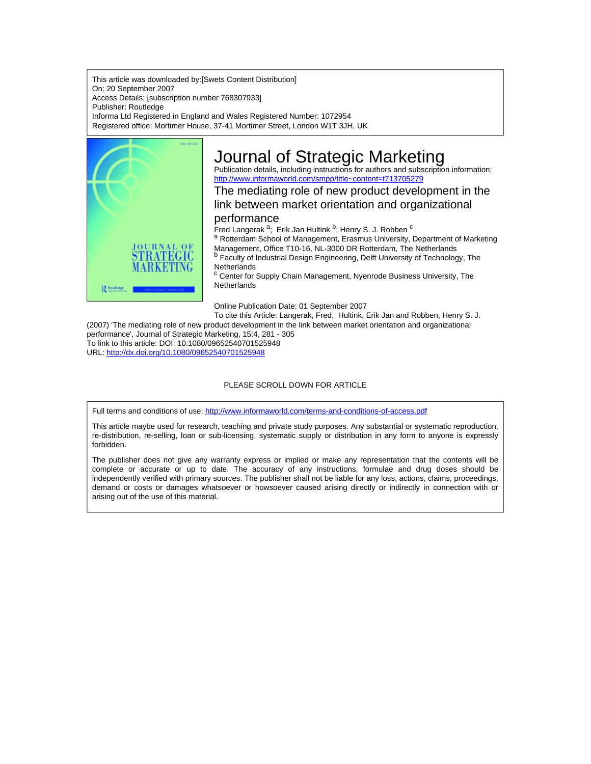This article was downloaded by:[Swets Content Distribution] On: 20 September 2007 Access Details: [subscription number 768307933] Publisher: Routledge Informa Ltd Registered in England and Wales Registered Number: 1072954 Registered office: Mortimer House, 37-41 Mortimer Street, London W1T 3JH, UK



# Journal of Strategic Marketing

Publication details, including instructions for authors and subscription information: <http://www.informaworld.com/smpp/title~content=t713705279>

The mediating role of new product development in the

# link between market orientation and organizational performance

.<br>Fred Langerak <sup>a</sup>; Erik Jan Hultink <sup>b</sup>; Henry S. J. Robben <sup>c</sup>

a Rotterdam School of Management, Erasmus University, Department of Marketing Management, Office T10-16, NL-3000 DR Rotterdam, The Netherlands b Faculty of Industrial Design Engineering, Delft University of Technology, The **Netherlands** 

<sup>c</sup> Center for Supply Chain Management, Nyenrode Business University, The **Netherlands** 

Online Publication Date: 01 September 2007

To cite this Article: Langerak, Fred, Hultink, Erik Jan and Robben, Henry S. J. (2007) 'The mediating role of new product development in the link between market orientation and organizational performance', Journal of Strategic Marketing, 15:4, 281 - 305 To link to this article: DOI: 10.1080/09652540701525948 URL: <http://dx.doi.org/10.1080/09652540701525948>

# PLEASE SCROLL DOWN FOR ARTICLE

Full terms and conditions of use: <http://www.informaworld.com/terms-and-conditions-of-access.pdf>

This article maybe used for research, teaching and private study purposes. Any substantial or systematic reproduction, re-distribution, re-selling, loan or sub-licensing, systematic supply or distribution in any form to anyone is expressly forbidden.

The publisher does not give any warranty express or implied or make any representation that the contents will be complete or accurate or up to date. The accuracy of any instructions, formulae and drug doses should be independently verified with primary sources. The publisher shall not be liable for any loss, actions, claims, proceedings, demand or costs or damages whatsoever or howsoever caused arising directly or indirectly in connection with or arising out of the use of this material.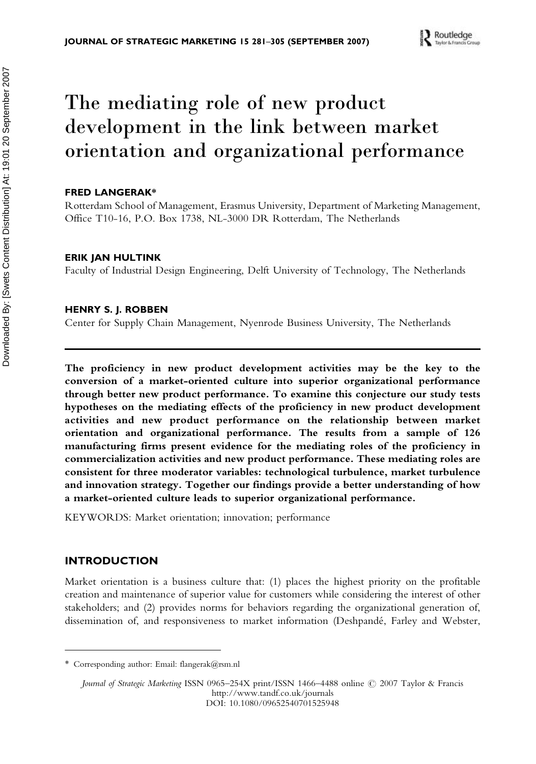# The mediating role of new product development in the link between market orientation and organizational performance

#### FRED LANGERAK\*

Rotterdam School of Management, Erasmus University, Department of Marketing Management, Office T10-16, P.O. Box 1738, NL-3000 DR Rotterdam, The Netherlands

#### ERIK JAN HULTINK

Faculty of Industrial Design Engineering, Delft University of Technology, The Netherlands

#### HENRY S. J. ROBBEN

Center for Supply Chain Management, Nyenrode Business University, The Netherlands

The proficiency in new product development activities may be the key to the conversion of a market-oriented culture into superior organizational performance through better new product performance. To examine this conjecture our study tests hypotheses on the mediating effects of the proficiency in new product development activities and new product performance on the relationship between market orientation and organizational performance. The results from a sample of 126 manufacturing firms present evidence for the mediating roles of the proficiency in commercialization activities and new product performance. These mediating roles are consistent for three moderator variables: technological turbulence, market turbulence and innovation strategy. Together our findings provide a better understanding of how a market-oriented culture leads to superior organizational performance.

KEYWORDS: Market orientation; innovation; performance

# INTRODUCTION

Market orientation is a business culture that: (1) places the highest priority on the profitable creation and maintenance of superior value for customers while considering the interest of other stakeholders; and (2) provides norms for behaviors regarding the organizational generation of, dissemination of, and responsiveness to market information (Deshpandé, Farley and Webster,

*<sup>\*</sup>* Corresponding author: Email: flangerak@rsm.nl

Journal of Strategic Marketing ISSN 0965-254X print/ISSN 1466-4488 online  $\oslash$  2007 Taylor & Francis http://www.tandf.co.uk/journals DOI: 10.1080/09652540701525948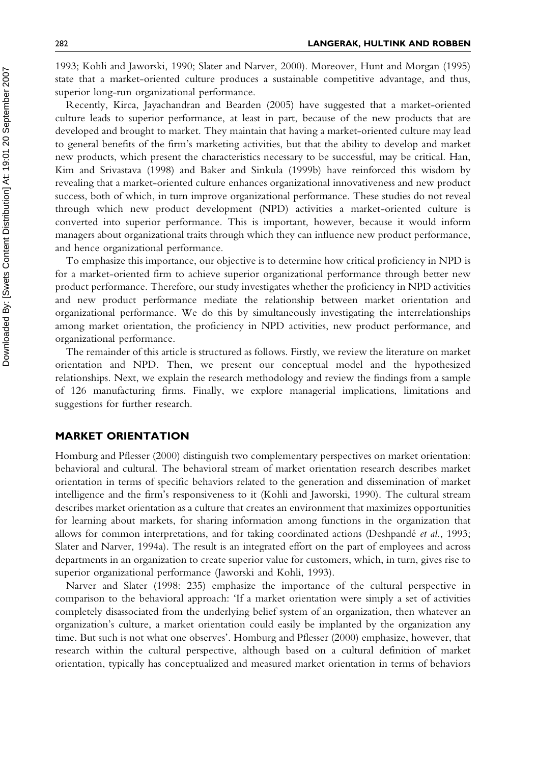1993; Kohli and Jaworski, 1990; Slater and Narver, 2000). Moreover, Hunt and Morgan (1995) state that a market-oriented culture produces a sustainable competitive advantage, and thus, superior long-run organizational performance.

Recently, Kirca, Jayachandran and Bearden (2005) have suggested that a market-oriented culture leads to superior performance, at least in part, because of the new products that are developed and brought to market. They maintain that having a market-oriented culture may lead to general benefits of the firm's marketing activities, but that the ability to develop and market new products, which present the characteristics necessary to be successful, may be critical. Han, Kim and Srivastava (1998) and Baker and Sinkula (1999b) have reinforced this wisdom by revealing that a market-oriented culture enhances organizational innovativeness and new product success, both of which, in turn improve organizational performance. These studies do not reveal through which new product development (NPD) activities a market-oriented culture is converted into superior performance. This is important, however, because it would inform managers about organizational traits through which they can influence new product performance, and hence organizational performance.

To emphasize this importance, our objective is to determine how critical proficiency in NPD is for a market-oriented firm to achieve superior organizational performance through better new product performance. Therefore, our study investigates whether the proficiency in NPD activities and new product performance mediate the relationship between market orientation and organizational performance. We do this by simultaneously investigating the interrelationships among market orientation, the proficiency in NPD activities, new product performance, and organizational performance.

The remainder of this article is structured as follows. Firstly, we review the literature on market orientation and NPD. Then, we present our conceptual model and the hypothesized relationships. Next, we explain the research methodology and review the findings from a sample of 126 manufacturing firms. Finally, we explore managerial implications, limitations and suggestions for further research.

### MARKET ORIENTATION

Homburg and Pflesser (2000) distinguish two complementary perspectives on market orientation: behavioral and cultural. The behavioral stream of market orientation research describes market orientation in terms of specific behaviors related to the generation and dissemination of market intelligence and the firm's responsiveness to it (Kohli and Jaworski, 1990). The cultural stream describes market orientation as a culture that creates an environment that maximizes opportunities for learning about markets, for sharing information among functions in the organization that allows for common interpretations, and for taking coordinated actions (Deshpandé et al., 1993; Slater and Narver, 1994a). The result is an integrated effort on the part of employees and across departments in an organization to create superior value for customers, which, in turn, gives rise to superior organizational performance (Jaworski and Kohli, 1993).

Narver and Slater (1998: 235) emphasize the importance of the cultural perspective in comparison to the behavioral approach: 'If a market orientation were simply a set of activities completely disassociated from the underlying belief system of an organization, then whatever an organization's culture, a market orientation could easily be implanted by the organization any time. But such is not what one observes'. Homburg and Pflesser (2000) emphasize, however, that research within the cultural perspective, although based on a cultural definition of market orientation, typically has conceptualized and measured market orientation in terms of behaviors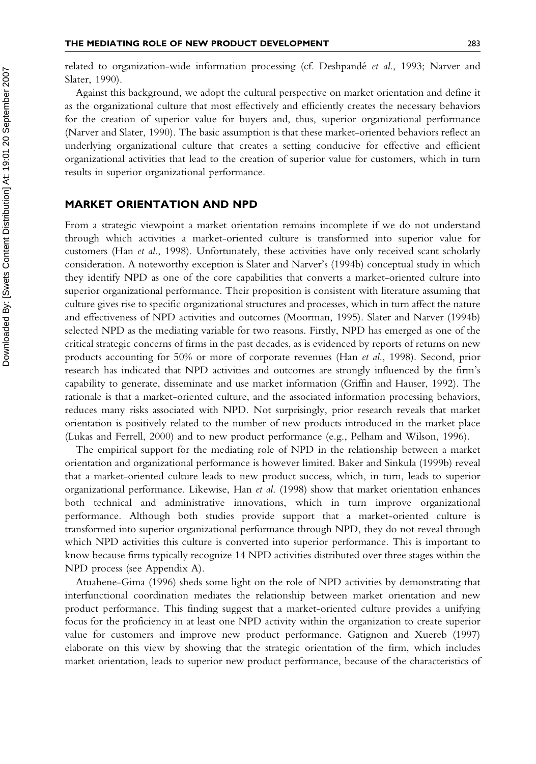related to organization-wide information processing (cf. Deshpandé et al., 1993; Narver and Slater, 1990).

Against this background, we adopt the cultural perspective on market orientation and define it as the organizational culture that most effectively and efficiently creates the necessary behaviors for the creation of superior value for buyers and, thus, superior organizational performance (Narver and Slater, 1990). The basic assumption is that these market-oriented behaviors reflect an underlying organizational culture that creates a setting conducive for effective and efficient organizational activities that lead to the creation of superior value for customers, which in turn results in superior organizational performance.

#### MARKET ORIENTATION AND NPD

From a strategic viewpoint a market orientation remains incomplete if we do not understand through which activities a market-oriented culture is transformed into superior value for customers (Han et al., 1998). Unfortunately, these activities have only received scant scholarly consideration. A noteworthy exception is Slater and Narver's (1994b) conceptual study in which they identify NPD as one of the core capabilities that converts a market-oriented culture into superior organizational performance. Their proposition is consistent with literature assuming that culture gives rise to specific organizational structures and processes, which in turn affect the nature and effectiveness of NPD activities and outcomes (Moorman, 1995). Slater and Narver (1994b) selected NPD as the mediating variable for two reasons. Firstly, NPD has emerged as one of the critical strategic concerns of firms in the past decades, as is evidenced by reports of returns on new products accounting for 50% or more of corporate revenues (Han et al., 1998). Second, prior research has indicated that NPD activities and outcomes are strongly influenced by the firm's capability to generate, disseminate and use market information (Griffin and Hauser, 1992). The rationale is that a market-oriented culture, and the associated information processing behaviors, reduces many risks associated with NPD. Not surprisingly, prior research reveals that market orientation is positively related to the number of new products introduced in the market place (Lukas and Ferrell, 2000) and to new product performance (e.g., Pelham and Wilson, 1996).

The empirical support for the mediating role of NPD in the relationship between a market orientation and organizational performance is however limited. Baker and Sinkula (1999b) reveal that a market-oriented culture leads to new product success, which, in turn, leads to superior organizational performance. Likewise, Han et al. (1998) show that market orientation enhances both technical and administrative innovations, which in turn improve organizational performance. Although both studies provide support that a market-oriented culture is transformed into superior organizational performance through NPD, they do not reveal through which NPD activities this culture is converted into superior performance. This is important to know because firms typically recognize 14 NPD activities distributed over three stages within the NPD process (see Appendix A).

Atuahene-Gima (1996) sheds some light on the role of NPD activities by demonstrating that interfunctional coordination mediates the relationship between market orientation and new product performance. This finding suggest that a market-oriented culture provides a unifying focus for the proficiency in at least one NPD activity within the organization to create superior value for customers and improve new product performance. Gatignon and Xuereb (1997) elaborate on this view by showing that the strategic orientation of the firm, which includes market orientation, leads to superior new product performance, because of the characteristics of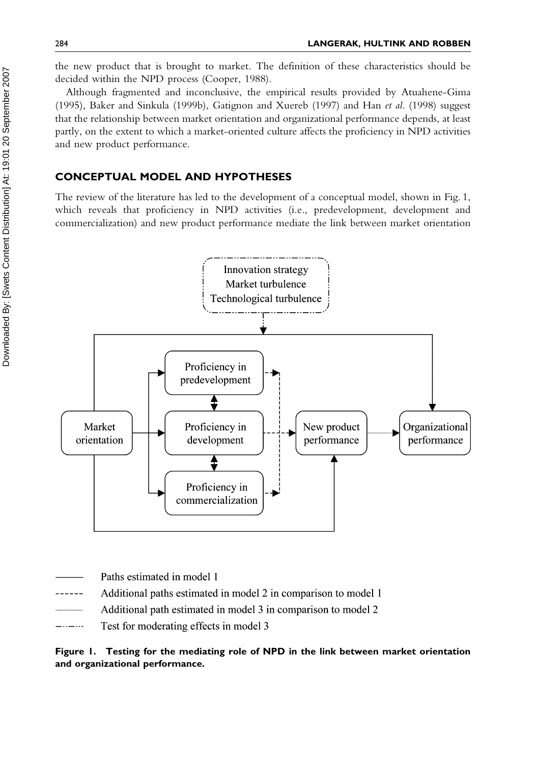the new product that is brought to market. The definition of these characteristics should be decided within the NPD process (Cooper, 1988).

Although fragmented and inconclusive, the empirical results provided by Atuahene-Gima (1995), Baker and Sinkula (1999b), Gatignon and Xuereb (1997) and Han et al. (1998) suggest that the relationship between market orientation and organizational performance depends, at least partly, on the extent to which a market-oriented culture affects the proficiency in NPD activities and new product performance.

# CONCEPTUAL MODEL AND HYPOTHESES

The review of the literature has led to the development of a conceptual model, shown in Fig. 1, which reveals that proficiency in NPD activities (i.e., predevelopment, development and commercialization) and new product performance mediate the link between market orientation



Paths estimated in model 1

------Additional paths estimated in model 2 in comparison to model 1

Additional path estimated in model 3 in comparison to model 2 .................

Test for moderating effects in model 3 -------

Figure 1. Testing for the mediating role of NPD in the link between market orientation and organizational performance.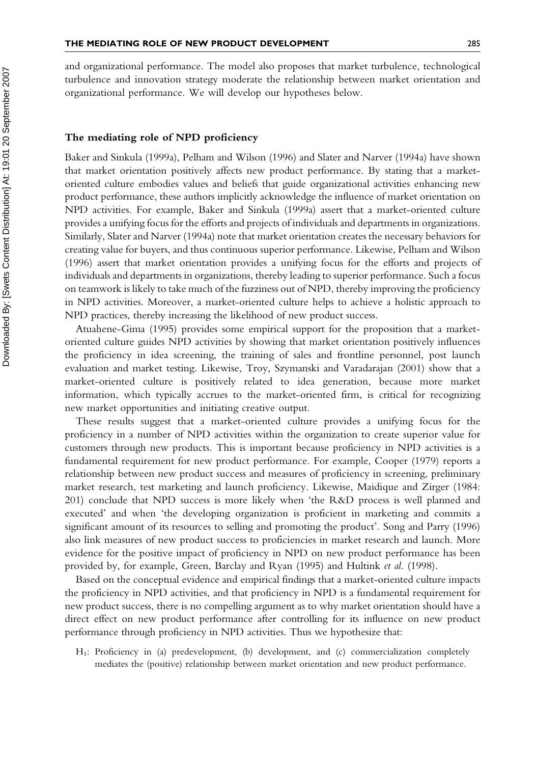and organizational performance. The model also proposes that market turbulence, technological turbulence and innovation strategy moderate the relationship between market orientation and organizational performance. We will develop our hypotheses below.

#### The mediating role of NPD proficiency

Baker and Sinkula (1999a), Pelham and Wilson (1996) and Slater and Narver (1994a) have shown that market orientation positively affects new product performance. By stating that a marketoriented culture embodies values and beliefs that guide organizational activities enhancing new product performance, these authors implicitly acknowledge the influence of market orientation on NPD activities. For example, Baker and Sinkula (1999a) assert that a market-oriented culture provides a unifying focus for the efforts and projects of individuals and departments in organizations. Similarly, Slater and Narver (1994a) note that market orientation creates the necessary behaviors for creating value for buyers, and thus continuous superior performance. Likewise, Pelham and Wilson (1996) assert that market orientation provides a unifying focus for the efforts and projects of individuals and departments in organizations, thereby leading to superior performance. Such a focus on teamwork is likely to take much of the fuzziness out of NPD, thereby improving the proficiency in NPD activities. Moreover, a market-oriented culture helps to achieve a holistic approach to NPD practices, thereby increasing the likelihood of new product success.

Atuahene-Gima (1995) provides some empirical support for the proposition that a marketoriented culture guides NPD activities by showing that market orientation positively influences the proficiency in idea screening, the training of sales and frontline personnel, post launch evaluation and market testing. Likewise, Troy, Szymanski and Varadarajan (2001) show that a market-oriented culture is positively related to idea generation, because more market information, which typically accrues to the market-oriented firm, is critical for recognizing new market opportunities and initiating creative output.

These results suggest that a market-oriented culture provides a unifying focus for the proficiency in a number of NPD activities within the organization to create superior value for customers through new products. This is important because proficiency in NPD activities is a fundamental requirement for new product performance. For example, Cooper (1979) reports a relationship between new product success and measures of proficiency in screening, preliminary market research, test marketing and launch proficiency. Likewise, Maidique and Zirger (1984: 201) conclude that NPD success is more likely when 'the R&D process is well planned and executed' and when 'the developing organization is proficient in marketing and commits a significant amount of its resources to selling and promoting the product'. Song and Parry (1996) also link measures of new product success to proficiencies in market research and launch. More evidence for the positive impact of proficiency in NPD on new product performance has been provided by, for example, Green, Barclay and Ryan (1995) and Hultink et al. (1998).

Based on the conceptual evidence and empirical findings that a market-oriented culture impacts the proficiency in NPD activities, and that proficiency in NPD is a fundamental requirement for new product success, there is no compelling argument as to why market orientation should have a direct effect on new product performance after controlling for its influence on new product performance through proficiency in NPD activities. Thus we hypothesize that:

H1: Proficiency in (a) predevelopment, (b) development, and (c) commercialization completely mediates the (positive) relationship between market orientation and new product performance.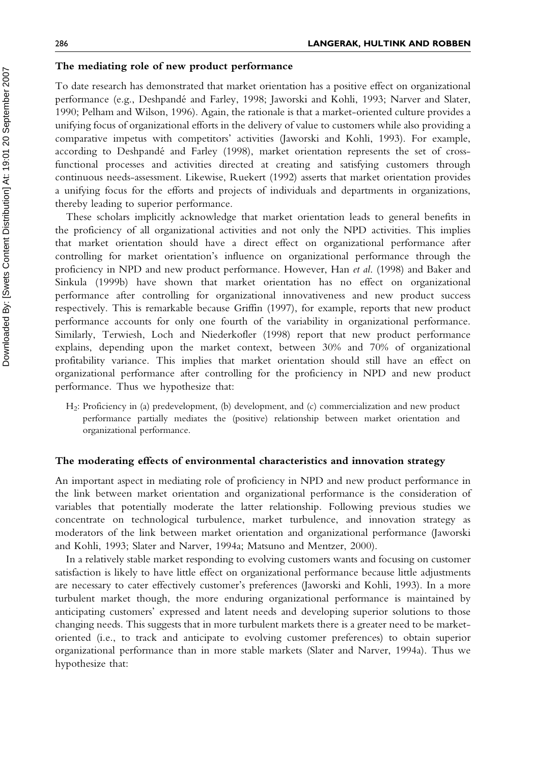#### The mediating role of new product performance

To date research has demonstrated that market orientation has a positive effect on organizational performance (e.g., Deshpande´ and Farley, 1998; Jaworski and Kohli, 1993; Narver and Slater, 1990; Pelham and Wilson, 1996). Again, the rationale is that a market-oriented culture provides a unifying focus of organizational efforts in the delivery of value to customers while also providing a comparative impetus with competitors' activities (Jaworski and Kohli, 1993). For example, according to Deshpandé and Farley (1998), market orientation represents the set of crossfunctional processes and activities directed at creating and satisfying customers through continuous needs-assessment. Likewise, Ruekert (1992) asserts that market orientation provides a unifying focus for the efforts and projects of individuals and departments in organizations, thereby leading to superior performance.

These scholars implicitly acknowledge that market orientation leads to general benefits in the proficiency of all organizational activities and not only the NPD activities. This implies that market orientation should have a direct effect on organizational performance after controlling for market orientation's influence on organizational performance through the proficiency in NPD and new product performance. However, Han et al. (1998) and Baker and Sinkula (1999b) have shown that market orientation has no effect on organizational performance after controlling for organizational innovativeness and new product success respectively. This is remarkable because Griffin (1997), for example, reports that new product performance accounts for only one fourth of the variability in organizational performance. Similarly, Terwiesh, Loch and Niederkofler (1998) report that new product performance explains, depending upon the market context, between 30% and 70% of organizational profitability variance. This implies that market orientation should still have an effect on organizational performance after controlling for the proficiency in NPD and new product performance. Thus we hypothesize that:

H2: Proficiency in (a) predevelopment, (b) development, and (c) commercialization and new product performance partially mediates the (positive) relationship between market orientation and organizational performance.

#### The moderating effects of environmental characteristics and innovation strategy

An important aspect in mediating role of proficiency in NPD and new product performance in the link between market orientation and organizational performance is the consideration of variables that potentially moderate the latter relationship. Following previous studies we concentrate on technological turbulence, market turbulence, and innovation strategy as moderators of the link between market orientation and organizational performance (Jaworski and Kohli, 1993; Slater and Narver, 1994a; Matsuno and Mentzer, 2000).

In a relatively stable market responding to evolving customers wants and focusing on customer satisfaction is likely to have little effect on organizational performance because little adjustments are necessary to cater effectively customer's preferences (Jaworski and Kohli, 1993). In a more turbulent market though, the more enduring organizational performance is maintained by anticipating customers' expressed and latent needs and developing superior solutions to those changing needs. This suggests that in more turbulent markets there is a greater need to be marketoriented (i.e., to track and anticipate to evolving customer preferences) to obtain superior organizational performance than in more stable markets (Slater and Narver, 1994a). Thus we hypothesize that: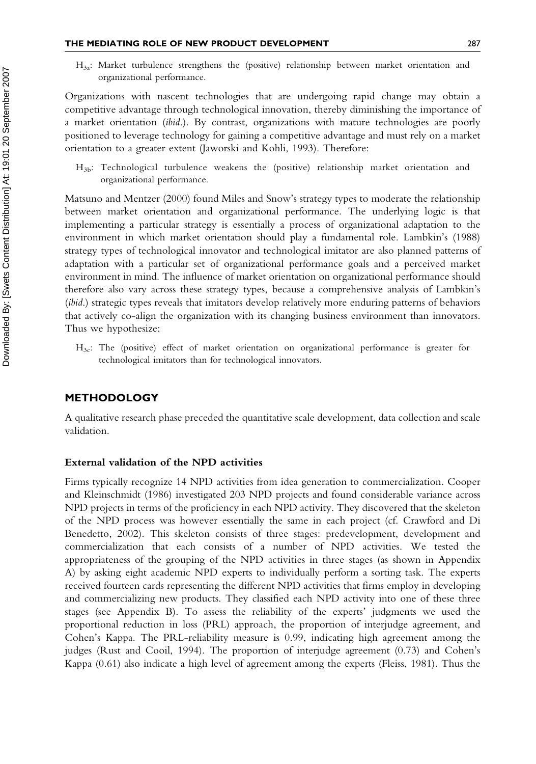H3a: Market turbulence strengthens the (positive) relationship between market orientation and organizational performance.

Organizations with nascent technologies that are undergoing rapid change may obtain a competitive advantage through technological innovation, thereby diminishing the importance of a market orientation (ibid.). By contrast, organizations with mature technologies are poorly positioned to leverage technology for gaining a competitive advantage and must rely on a market orientation to a greater extent (Jaworski and Kohli, 1993). Therefore:

H3b: Technological turbulence weakens the (positive) relationship market orientation and organizational performance.

Matsuno and Mentzer (2000) found Miles and Snow's strategy types to moderate the relationship between market orientation and organizational performance. The underlying logic is that implementing a particular strategy is essentially a process of organizational adaptation to the environment in which market orientation should play a fundamental role. Lambkin's (1988) strategy types of technological innovator and technological imitator are also planned patterns of adaptation with a particular set of organizational performance goals and a perceived market environment in mind. The influence of market orientation on organizational performance should therefore also vary across these strategy types, because a comprehensive analysis of Lambkin's (ibid.) strategic types reveals that imitators develop relatively more enduring patterns of behaviors that actively co-align the organization with its changing business environment than innovators. Thus we hypothesize:

H3c: The (positive) effect of market orientation on organizational performance is greater for technological imitators than for technological innovators.

# METHODOLOGY

A qualitative research phase preceded the quantitative scale development, data collection and scale validation.

#### External validation of the NPD activities

Firms typically recognize 14 NPD activities from idea generation to commercialization. Cooper and Kleinschmidt (1986) investigated 203 NPD projects and found considerable variance across NPD projects in terms of the proficiency in each NPD activity. They discovered that the skeleton of the NPD process was however essentially the same in each project (cf. Crawford and Di Benedetto, 2002). This skeleton consists of three stages: predevelopment, development and commercialization that each consists of a number of NPD activities. We tested the appropriateness of the grouping of the NPD activities in three stages (as shown in Appendix A) by asking eight academic NPD experts to individually perform a sorting task. The experts received fourteen cards representing the different NPD activities that firms employ in developing and commercializing new products. They classified each NPD activity into one of these three stages (see Appendix B). To assess the reliability of the experts' judgments we used the proportional reduction in loss (PRL) approach, the proportion of interjudge agreement, and Cohen's Kappa. The PRL-reliability measure is 0.99, indicating high agreement among the judges (Rust and Cooil, 1994). The proportion of interjudge agreement (0.73) and Cohen's Kappa (0.61) also indicate a high level of agreement among the experts (Fleiss, 1981). Thus the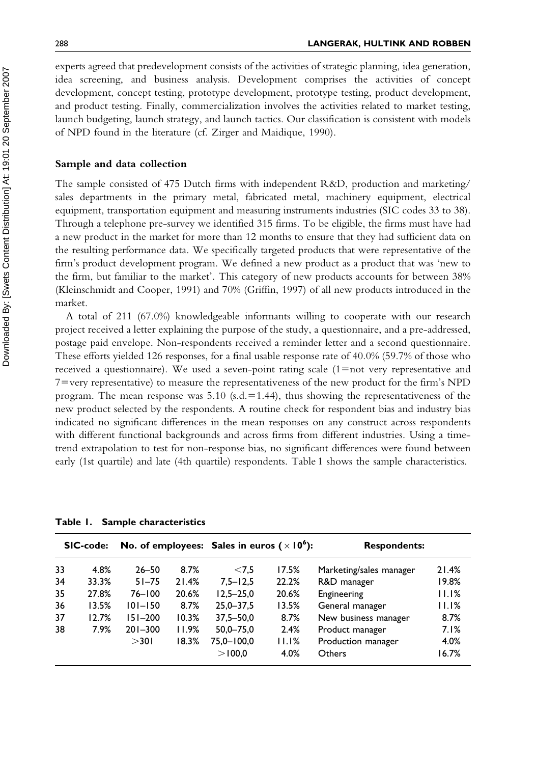experts agreed that predevelopment consists of the activities of strategic planning, idea generation, idea screening, and business analysis. Development comprises the activities of concept development, concept testing, prototype development, prototype testing, product development, and product testing. Finally, commercialization involves the activities related to market testing, launch budgeting, launch strategy, and launch tactics. Our classification is consistent with models of NPD found in the literature (cf. Zirger and Maidique, 1990).

#### Sample and data collection

The sample consisted of 475 Dutch firms with independent R&D, production and marketing/ sales departments in the primary metal, fabricated metal, machinery equipment, electrical equipment, transportation equipment and measuring instruments industries (SIC codes 33 to 38). Through a telephone pre-survey we identified 315 firms. To be eligible, the firms must have had a new product in the market for more than 12 months to ensure that they had sufficient data on the resulting performance data. We specifically targeted products that were representative of the firm's product development program. We defined a new product as a product that was 'new to the firm, but familiar to the market'. This category of new products accounts for between 38% (Kleinschmidt and Cooper, 1991) and 70% (Griffin, 1997) of all new products introduced in the market.

A total of 211 (67.0%) knowledgeable informants willing to cooperate with our research project received a letter explaining the purpose of the study, a questionnaire, and a pre-addressed, postage paid envelope. Non-respondents received a reminder letter and a second questionnaire. These efforts yielded 126 responses, for a final usable response rate of 40.0% (59.7% of those who received a questionnaire). We used a seven-point rating scale  $(1=not$  very representative and 7=very representative) to measure the representativeness of the new product for the firm's NPD program. The mean response was  $5.10$  (s.d.=1.44), thus showing the representativeness of the new product selected by the respondents. A routine check for respondent bias and industry bias indicated no significant differences in the mean responses on any construct across respondents with different functional backgrounds and across firms from different industries. Using a timetrend extrapolation to test for non-response bias, no significant differences were found between early (1st quartile) and late (4th quartile) respondents. Table 1 shows the sample characteristics.

| SIC-code: |       | No. of employees: Sales in euros $(x 106)$ : |       |               |       | <b>Respondents:</b>     |       |  |
|-----------|-------|----------------------------------------------|-------|---------------|-------|-------------------------|-------|--|
| 33        | 4.8%  | $26 - 50$                                    | 8.7%  | < 7.5         | 17.5% | Marketing/sales manager | 21.4% |  |
| 34        | 33.3% | $51 - 75$                                    | 21.4% | $7.5 - 12.5$  | 22.2% | R&D manager             | 19.8% |  |
| 35        | 27.8% | $76 - 100$                                   | 20.6% | $12.5 - 25.0$ | 20.6% | Engineering             | 11.1% |  |
| 36        | 13.5% | $101 - 150$                                  | 8.7%  | $25.0 - 37.5$ | 13.5% | General manager         | 11.1% |  |
| 37        | 12.7% | $151 - 200$                                  | 10.3% | $37.5 - 50.0$ | 8.7%  | New business manager    | 8.7%  |  |
| 38        | 7.9%  | $201 - 300$                                  | 11.9% | $50.0 - 75.0$ | 2.4%  | Product manager         | 7.1%  |  |
|           |       | $>$ 301                                      | 18.3% | 75.0-100.0    | 11.1% | Production manager      | 4.0%  |  |
|           |       |                                              |       | >100,0        | 4.0%  | Others                  | 16.7% |  |

Table 1. Sample characteristics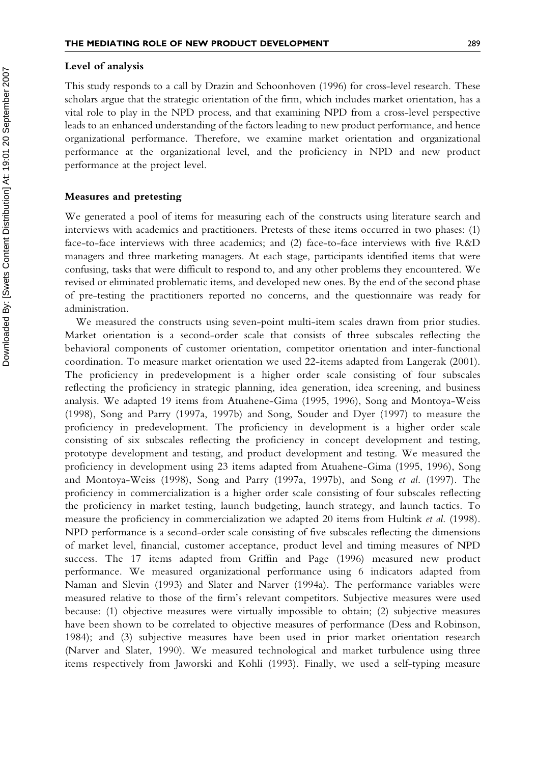#### Level of analysis

This study responds to a call by Drazin and Schoonhoven (1996) for cross-level research. These scholars argue that the strategic orientation of the firm, which includes market orientation, has a vital role to play in the NPD process, and that examining NPD from a cross-level perspective leads to an enhanced understanding of the factors leading to new product performance, and hence organizational performance. Therefore, we examine market orientation and organizational performance at the organizational level, and the proficiency in NPD and new product performance at the project level.

#### Measures and pretesting

We generated a pool of items for measuring each of the constructs using literature search and interviews with academics and practitioners. Pretests of these items occurred in two phases: (1) face-to-face interviews with three academics; and (2) face-to-face interviews with five R&D managers and three marketing managers. At each stage, participants identified items that were confusing, tasks that were difficult to respond to, and any other problems they encountered. We revised or eliminated problematic items, and developed new ones. By the end of the second phase of pre-testing the practitioners reported no concerns, and the questionnaire was ready for administration.

We measured the constructs using seven-point multi-item scales drawn from prior studies. Market orientation is a second-order scale that consists of three subscales reflecting the behavioral components of customer orientation, competitor orientation and inter-functional coordination. To measure market orientation we used 22-items adapted from Langerak (2001). The proficiency in predevelopment is a higher order scale consisting of four subscales reflecting the proficiency in strategic planning, idea generation, idea screening, and business analysis. We adapted 19 items from Atuahene-Gima (1995, 1996), Song and Montoya-Weiss (1998), Song and Parry (1997a, 1997b) and Song, Souder and Dyer (1997) to measure the proficiency in predevelopment. The proficiency in development is a higher order scale consisting of six subscales reflecting the proficiency in concept development and testing, prototype development and testing, and product development and testing. We measured the proficiency in development using 23 items adapted from Atuahene-Gima (1995, 1996), Song and Montoya-Weiss (1998), Song and Parry (1997a, 1997b), and Song et al. (1997). The proficiency in commercialization is a higher order scale consisting of four subscales reflecting the proficiency in market testing, launch budgeting, launch strategy, and launch tactics. To measure the proficiency in commercialization we adapted 20 items from Hultink *et al.* (1998). NPD performance is a second-order scale consisting of five subscales reflecting the dimensions of market level, financial, customer acceptance, product level and timing measures of NPD success. The 17 items adapted from Griffin and Page (1996) measured new product performance. We measured organizational performance using 6 indicators adapted from Naman and Slevin (1993) and Slater and Narver (1994a). The performance variables were measured relative to those of the firm's relevant competitors. Subjective measures were used because: (1) objective measures were virtually impossible to obtain; (2) subjective measures have been shown to be correlated to objective measures of performance (Dess and Robinson, 1984); and (3) subjective measures have been used in prior market orientation research (Narver and Slater, 1990). We measured technological and market turbulence using three items respectively from Jaworski and Kohli (1993). Finally, we used a self-typing measure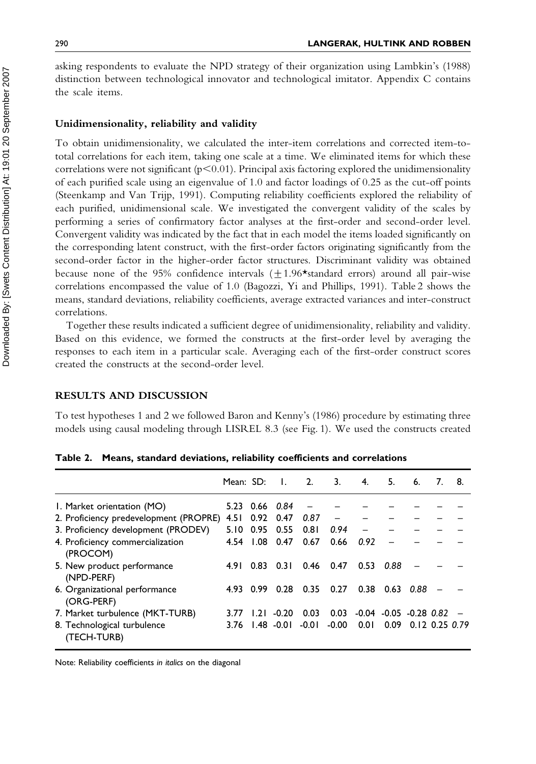asking respondents to evaluate the NPD strategy of their organization using Lambkin's (1988) distinction between technological innovator and technological imitator. Appendix C contains the scale items.

#### Unidimensionality, reliability and validity

To obtain unidimensionality, we calculated the inter-item correlations and corrected item-tototal correlations for each item, taking one scale at a time. We eliminated items for which these correlations were not significant  $(p<0.01)$ . Principal axis factoring explored the unidimensionality of each purified scale using an eigenvalue of 1.0 and factor loadings of 0.25 as the cut-off points (Steenkamp and Van Trijp, 1991). Computing reliability coefficients explored the reliability of each purified, unidimensional scale. We investigated the convergent validity of the scales by performing a series of confirmatory factor analyses at the first-order and second-order level. Convergent validity was indicated by the fact that in each model the items loaded significantly on the corresponding latent construct, with the first-order factors originating significantly from the second-order factor in the higher-order factor structures. Discriminant validity was obtained because none of the 95% confidence intervals  $(\pm 1.96 \star \text{standard errors})$  around all pair-wise correlations encompassed the value of 1.0 (Bagozzi, Yi and Phillips, 1991). Table 2 shows the means, standard deviations, reliability coefficients, average extracted variances and inter-construct correlations.

Together these results indicated a sufficient degree of unidimensionality, reliability and validity. Based on this evidence, we formed the constructs at the first-order level by averaging the responses to each item in a particular scale. Averaging each of the first-order construct scores created the constructs at the second-order level.

### RESULTS AND DISCUSSION

To test hypotheses 1 and 2 we followed Baron and Kenny's (1986) procedure by estimating three models using causal modeling through LISREL 8.3 (see Fig. 1). We used the constructs created

|                                              |           |             |                | Mean: SD: 1. 2. 3. |             | 4.   | -5.                            | 6.               | 7. | -8. |
|----------------------------------------------|-----------|-------------|----------------|--------------------|-------------|------|--------------------------------|------------------|----|-----|
| I. Market orientation (MO)                   |           |             | 5.23 0.66 0.84 |                    |             |      |                                |                  |    |     |
| 2. Proficiency predevelopment (PROPRE)       | 4.51      | 0.92        | 0.47           | 0.87               |             |      |                                |                  |    |     |
| 3. Proficiency development (PRODEV)          | 5.10      | 0.95        | 0.55           | 0.81               | 0.94        |      |                                |                  |    |     |
| 4. Proficiency commercialization<br>(PROCOM) | 4.54 1.08 |             | 0.47           | 0.67               | 0.66        | 0.92 |                                |                  |    |     |
| 5. New product performance<br>(NPD-PERF)     | 4.91      | 0.83        | 0.31           |                    | $0.46$ 0.47 | 0.53 | 0.88                           |                  |    |     |
| 6. Organizational performance<br>(ORG-PERF)  | 4.93 0.99 |             |                | 0.28 0.35          | 0.27        |      | $0.38$ 0.63                    | 0.88             |    |     |
| 7. Market turbulence (MKT-TURB)              | 3.77      | - 121       | $-0.20$        | 0.03               | 0.03        |      | $-0.04$ $-0.05$ $-0.28$ $0.82$ |                  |    |     |
| 8. Technological turbulence<br>(TECH-TURB)   | 3.76      | <b>1.48</b> | $-0.01$        | $-0.01$            | $-0.00$     | 0.01 | 0.09                           | $0.12$ 0.25 0.79 |    |     |

Table 2. Means, standard deviations, reliability coefficients and correlations

Note: Reliability coefficients in italics on the diagonal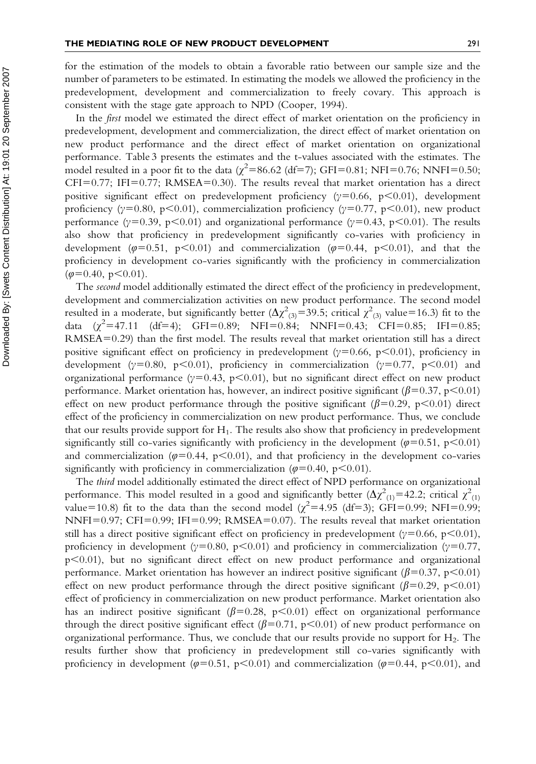for the estimation of the models to obtain a favorable ratio between our sample size and the number of parameters to be estimated. In estimating the models we allowed the proficiency in the predevelopment, development and commercialization to freely covary. This approach is consistent with the stage gate approach to NPD (Cooper, 1994).

In the *first* model we estimated the direct effect of market orientation on the proficiency in predevelopment, development and commercialization, the direct effect of market orientation on new product performance and the direct effect of market orientation on organizational performance. Table 3 presents the estimates and the t-values associated with the estimates. The model resulted in a poor fit to the data ( $\chi^2$ =86.62 (df=7); GFI=0.81; NFI=0.76; NNFI=0.50;  $CFI=0.77$ ; IFI=0.77; RMSEA=0.30). The results reveal that market orientation has a direct positive significant effect on predevelopment proficiency ( $\gamma=0.66$ , p $\leq 0.01$ ), development proficiency ( $\gamma=0.80$ , p $\leq 0.01$ ), commercialization proficiency ( $\gamma=0.77$ , p $\leq 0.01$ ), new product performance ( $\gamma=0.39$ , p $\leq 0.01$ ) and organizational performance ( $\gamma=0.43$ , p $\leq 0.01$ ). The results also show that proficiency in predevelopment significantly co-varies with proficiency in development ( $\varphi$ =0.51, p<0.01) and commercialization ( $\varphi$ =0.44, p<0.01), and that the proficiency in development co-varies significantly with the proficiency in commercialization  $(\varphi=0.40, p<0.01)$ .

The *second* model additionally estimated the direct effect of the proficiency in predevelopment, development and commercialization activities on new product performance. The second model resulted in a moderate, but significantly better ( $\Delta\chi^2_{(3)}$ =39.5; critical  $\chi^2_{(3)}$  value=16.3) fit to the data  $(\chi^2 = 47.11)$  $(df=4); GFI=0.89; NFI=0.84; NNFI=0.43; CFI=0.85; IFI=0.85;$  $RMSEA=0.29$ ) than the first model. The results reveal that market orientation still has a direct positive significant effect on proficiency in predevelopment ( $\gamma$ =0.66, p<0.01), proficiency in development ( $\gamma=0.80$ , p $\leq 0.01$ ), proficiency in commercialization ( $\gamma=0.77$ , p $\leq 0.01$ ) and organizational performance ( $\gamma=0.43$ , p $\leq 0.01$ ), but no significant direct effect on new product performance. Market orientation has, however, an indirect positive significant ( $\beta$ =0.37, p<0.01) effect on new product performance through the positive significant ( $\beta$ =0.29, p<0.01) direct effect of the proficiency in commercialization on new product performance. Thus, we conclude that our results provide support for  $H_1$ . The results also show that proficiency in predevelopment significantly still co-varies significantly with proficiency in the development ( $\varphi$ =0.51, p<0.01) and commercialization ( $\varphi$ =0.44, p<0.01), and that proficiency in the development co-varies significantly with proficiency in commercialization ( $\varphi$ =0.40, p<0.01).

The *third* model additionally estimated the direct effect of NPD performance on organizational performance. This model resulted in a good and significantly better ( $\Delta\chi^2_{(1)}$ =42.2; critical  $\chi^2_{(1)}$ value=10.8) fit to the data than the second model ( $\chi^2$ =4.95 (df=3); GFI=0.99; NFI=0.99; NNFI=0.97; CFI=0.99; IFI=0.99; RMSEA=0.07). The results reveal that market orientation still has a direct positive significant effect on proficiency in predevelopment ( $\gamma$ =0.66, p<0.01), proficiency in development ( $\gamma=0.80$ , p<0.01) and proficiency in commercialization ( $\gamma=0.77$ ,  $p<0.01$ ), but no significant direct effect on new product performance and organizational performance. Market orientation has however an indirect positive significant ( $\beta$ =0.37, p<0.01) effect on new product performance through the direct positive significant ( $\beta$ =0.29, p $\leq$ 0.01) effect of proficiency in commercialization on new product performance. Market orientation also has an indirect positive significant ( $\beta$ =0.28, p<0.01) effect on organizational performance through the direct positive significant effect ( $\beta$ =0.71, p<0.01) of new product performance on organizational performance. Thus, we conclude that our results provide no support for  $H_2$ . The results further show that proficiency in predevelopment still co-varies significantly with proficiency in development ( $\varphi$ =0.51, p<0.01) and commercialization ( $\varphi$ =0.44, p<0.01), and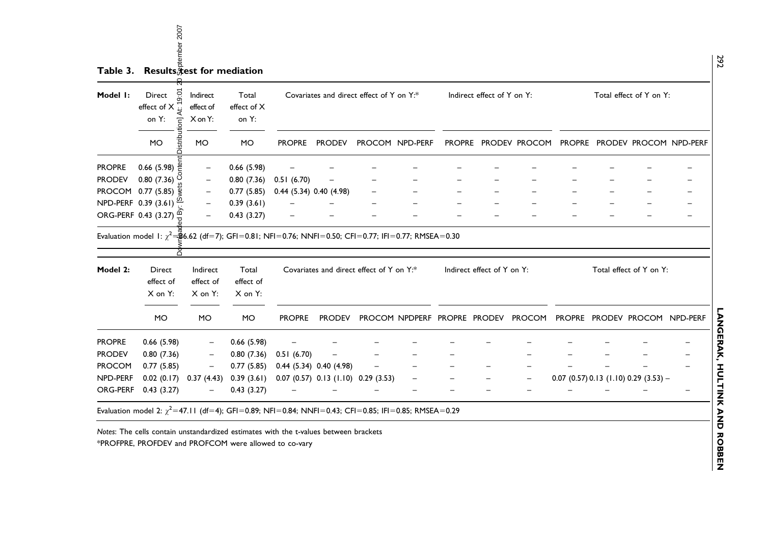Downloaded By: [Swets Content Distribution] At: 19:01 20 September 2007 Table 3. Results&est for mediation Š Covariates and direct effect of Y on  $Y$ :  $*$  Indirect effect of Y on Y: Total effect of Y on Y: Model 1:IndirectTotal Direct effect ofeffect of Xeffect of X X on Y:on Y:on Y: $\overline{c}$ MO  $\frac{15}{15}$  MO MO PROPRE PRODEV PROCOM NPD-PERF PROPRE PRODEV PROCOM PROPRE PRODEV PROCOM NPD-PERF PROPRE 0.66 (5.98)  $\frac{36}{2}$  – 0.66 (5.98) – – – – – – – – – – – – – – – PRODEV 0.80 (7.36)  $\frac{0}{2}$  – 0.80 (7.36) 0.51 (6.70) PROCOM 0.77 (5.85)  $\frac{16}{5}$  – 0.77 (5.85) 0.44 (5.34) 0.40 (4.98) – – – – – – – – – – – – – NPD-PERF 0.39 (3.61)  $\frac{\omega}{2}$  – 0.39 (3.61) – – – – – – – – – – – – – – – ORG-PERF 0.43 (3.27)  $\frac{\dot{\omega}}{2}$  – 0.43 (3.27) – – – – – – – – – – – – – – – Evaluation model 1:  $\chi^2$ = $\stackrel{\infty}{\to}$ 6.62 (df=7); GFI=0.81; NFI=0.76; NNFI=0.50; CFI=0.77; IFI=0.77; RMSEA=0.30 ρç Model 2:Covariates and direct effect of Y on  $Y$ : $*$  Indirect effect of Y on Y: Total effect of Y on Y: Direct Indirect Total effect ofeffect ofeffect ofX on Y: X on Y: X on Y: MO MO MO PROPRE PRODEV PROCOM NPDPERF PROPRE PRODEV PROCOM PROPRE PRODEV PROCOM NPD-PERFPROPRE 0.66 (5.98) – 0.66 (5.98) – – – – – – – – – – – PRODEV 0.80 (7.36) – 0.80 (7.36) 0.51 (6.70) – – – – – – – – – PROCOM 0.77 (5.85) – 0.77 (5.85) 0.44 (5.34) 0.40 (4.98) NPD-PERF 0.02 (0.17) 0.37 (4.43) 0.39 (3.61) 0.07 (0.57) 0.13 (1.10) 0.29 (3.53) – – – – 0.07 (0.57) 0.13 (1.10) 0.29 (3.53) – ORG-PERF 0.43 (3.27) – 0.43 (3.27) – – – – – – – – – – – Evaluation model 2:  $\chi^2$ =47.11 (df=4); GFI=0.89; NFI=0.84; NNFI=0.43; CFI=0.85; IFI=0.85; RMSEA=0.29

Notes: The cells contain unstandardized estimates with the t-values between brackets \*PROFPRE, PROFDEV and PROFCOM were allowed to co-vary

mber 2007

292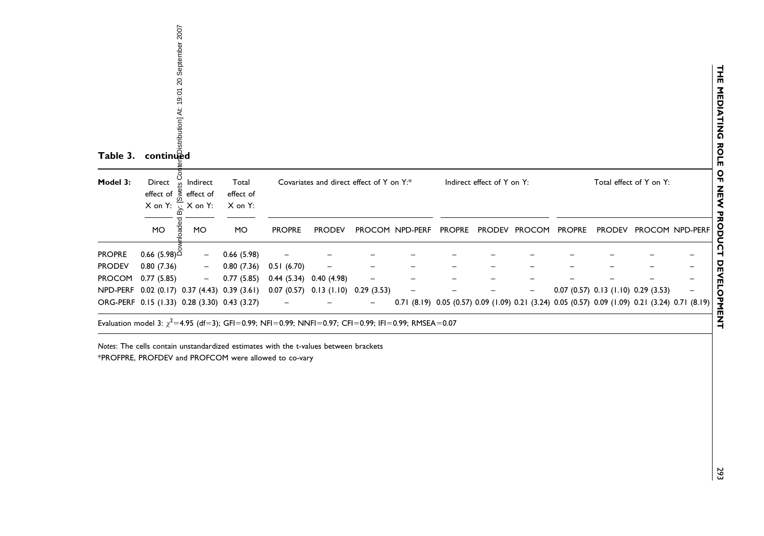|               | Table 3. continued                             | September 2007<br>$\approx$<br>19:01<br>stribution] At: |                                              |               |                                          |            |                 |               |                            |               |               |               |                                                                                                 |                          |
|---------------|------------------------------------------------|---------------------------------------------------------|----------------------------------------------|---------------|------------------------------------------|------------|-----------------|---------------|----------------------------|---------------|---------------|---------------|-------------------------------------------------------------------------------------------------|--------------------------|
| Model 3:      | Direct                                         | ပ္ပ<br>Indirect                                         | Total                                        |               | Covariates and direct effect of Y on Y:* |            |                 |               | Indirect effect of Y on Y: |               |               |               | Total effect of Y on Y:                                                                         |                          |
|               |                                                | effect of $\frac{\overline{\phi}}{2}$ effect of         | effect of                                    |               |                                          |            |                 |               |                            |               |               |               |                                                                                                 |                          |
|               |                                                | X on Y: $\frac{11}{25}$ X on Y:                         | X on Y:                                      |               |                                          |            |                 |               |                            |               |               |               |                                                                                                 |                          |
|               | MO                                             | pag<br>MO                                               | MO                                           | <b>PROPRE</b> | <b>PRODEV</b>                            |            | PROCOM NPD-PERF | <b>PROPRE</b> | <b>PRODEV</b>              | <b>PROCOM</b> | <b>PROPRE</b> | <b>PRODEV</b> | PROCOM NPD-PERF                                                                                 |                          |
| <b>PROPRE</b> | $0.66$ $(5.98)$ <sup><math>\Delta</math></sup> |                                                         | 0.66(5.98)                                   |               |                                          |            |                 |               |                            |               |               |               |                                                                                                 |                          |
| <b>PRODEV</b> | 0.80(7.36)                                     |                                                         | 0.80(7.36)                                   | 0.51(6.70)    |                                          |            |                 |               |                            |               |               |               |                                                                                                 |                          |
| <b>PROCOM</b> | 0.77(5.85)                                     | $\overline{\phantom{0}}$                                | 0.77(5.85)                                   | 0.44(5.34)    | 0.40 (4.98)                              |            |                 |               |                            |               |               |               |                                                                                                 |                          |
|               |                                                |                                                         | NPD-PERF 0.02 (0.17) 0.37 (4.43) 0.39 (3.61) |               | $0.07(0.57)$ 0.13 (1.10)                 | 0.29(3.53) |                 |               |                            | -             |               |               | 0.07 (0.57) 0.13 (1.10) 0.29 (3.53)                                                             | $\overline{\phantom{0}}$ |
|               | ORG-PERF 0.15 (1.33) 0.28 (3.30) 0.43 (3.27)   |                                                         |                                              |               |                                          |            |                 |               |                            |               |               |               | 0.71 (8.19) 0.05 (0.57) 0.09 (1.09) 0.21 (3.24) 0.05 (0.57) 0.09 (1.09) 0.21 (3.24) 0.71 (8.19) |                          |

Evaluation model 3:  $\chi^2$ =4.95 (df=3); GFI=0.99; NFI=0.99; NNFI=0.97; CFI=0.99; IFI=0.99; RMSEA=0.07

Notes: The cells contain unstandardized estimates with the t-values between brackets

\*PROFPRE, PROFDEV and PROFCOM were allowed to co-vary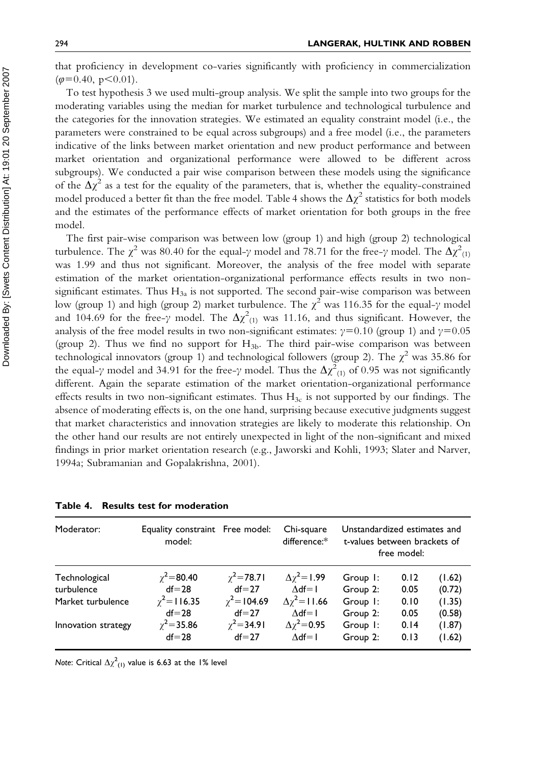that proficiency in development co-varies significantly with proficiency in commercialization  $(\varphi=0.40, p<0.01)$ .

To test hypothesis 3 we used multi-group analysis. We split the sample into two groups for the moderating variables using the median for market turbulence and technological turbulence and the categories for the innovation strategies. We estimated an equality constraint model (i.e., the parameters were constrained to be equal across subgroups) and a free model (i.e., the parameters indicative of the links between market orientation and new product performance and between market orientation and organizational performance were allowed to be different across subgroups). We conducted a pair wise comparison between these models using the significance of the  $\Delta \chi^2$  as a test for the equality of the parameters, that is, whether the equality-constrained model produced a better fit than the free model. Table 4 shows the  $\Delta \chi^2$  statistics for both models and the estimates of the performance effects of market orientation for both groups in the free model.

The first pair-wise comparison was between low (group 1) and high (group 2) technological turbulence. The  $\chi^2$  was 80.40 for the equal- $\gamma$  model and 78.71 for the free- $\gamma$  model. The  $\Delta\chi^2_{(1)}$ was 1.99 and thus not significant. Moreover, the analysis of the free model with separate estimation of the market orientation-organizational performance effects results in two nonsignificant estimates. Thus  $H_{3a}$  is not supported. The second pair-wise comparison was between low (group 1) and high (group 2) market turbulence. The  $\chi^2$  was 116.35 for the equal- $\gamma$  model and 104.69 for the free- $\gamma$  model. The  $\Delta\chi^2_{(1)}$  was 11.16, and thus significant. However, the analysis of the free model results in two non-significant estimates:  $\gamma=0.10$  (group 1) and  $\gamma=0.05$ (group 2). Thus we find no support for  $H_{3b}$ . The third pair-wise comparison was between technological innovators (group 1) and technological followers (group 2). The  $\chi^2$  was 35.86 for the equal- $\gamma$  model and 34.91 for the free- $\gamma$  model. Thus the  $\Delta\chi^2_{(1)}$  of 0.95 was not significantly different. Again the separate estimation of the market orientation-organizational performance effects results in two non-significant estimates. Thus  $H_{3c}$  is not supported by our findings. The absence of moderating effects is, on the one hand, surprising because executive judgments suggest that market characteristics and innovation strategies are likely to moderate this relationship. On the other hand our results are not entirely unexpected in light of the non-significant and mixed findings in prior market orientation research (e.g., Jaworski and Kohli, 1993; Slater and Narver, 1994a; Subramanian and Gopalakrishna, 2001).

| Moderator:          | Equality constraint Free model:<br>model: |                     | Chi-square<br>difference:* | Unstandardized estimates and<br>t-values between brackets of | free model: |        |
|---------------------|-------------------------------------------|---------------------|----------------------------|--------------------------------------------------------------|-------------|--------|
| Technological       | $\gamma^2$ = 80.40                        | $\gamma^2$ = 78.71  | $\Delta\chi^2$ = 1.99      | Group I:                                                     | 0.12        | (1.62) |
| turbulence          | $df = 28$                                 | $df = 27$           | $\Lambda$ df=1             | Group 2:                                                     | 0.05        | (0.72) |
| Market turbulence   | $\gamma^2$ = 116.35                       | $\gamma^2$ = 104.69 | $\Delta \chi^2$ = 11.66    | Group I:                                                     | 0.10        | (1.35) |
| Innovation strategy | $df = 28$                                 | $df = 27$           | $\Delta$ df=1              | Group 2:                                                     | 0.05        | (0.58) |
|                     | $\gamma^2 = 35.86$                        | $\gamma^2 = 34.91$  | $\Delta\chi^2$ = 0.95      | Group I:                                                     | 0.14        | (1.87) |
|                     | $df = 28$                                 | $df = 27$           | $\Delta df = I$            | Group 2:                                                     | 0.13        | (1.62) |

| Table 4. Results test for moderation |  |
|--------------------------------------|--|
|--------------------------------------|--|

Note: Critical  $\Delta\chi^2_{\;\;(1)}$  value is 6.63 at the 1% level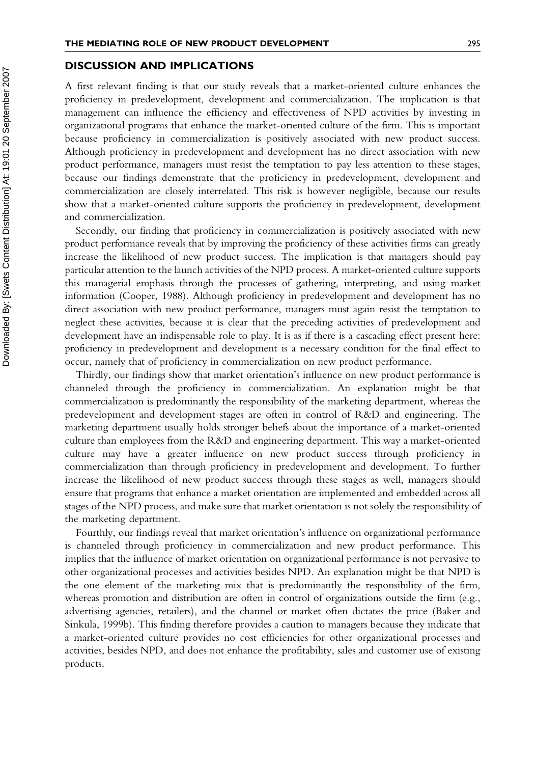#### DISCUSSION AND IMPLICATIONS

A first relevant finding is that our study reveals that a market-oriented culture enhances the proficiency in predevelopment, development and commercialization. The implication is that management can influence the efficiency and effectiveness of NPD activities by investing in organizational programs that enhance the market-oriented culture of the firm. This is important because proficiency in commercialization is positively associated with new product success. Although proficiency in predevelopment and development has no direct association with new product performance, managers must resist the temptation to pay less attention to these stages, because our findings demonstrate that the proficiency in predevelopment, development and commercialization are closely interrelated. This risk is however negligible, because our results show that a market-oriented culture supports the proficiency in predevelopment, development and commercialization.

Secondly, our finding that proficiency in commercialization is positively associated with new product performance reveals that by improving the proficiency of these activities firms can greatly increase the likelihood of new product success. The implication is that managers should pay particular attention to the launch activities of the NPD process. A market-oriented culture supports this managerial emphasis through the processes of gathering, interpreting, and using market information (Cooper, 1988). Although proficiency in predevelopment and development has no direct association with new product performance, managers must again resist the temptation to neglect these activities, because it is clear that the preceding activities of predevelopment and development have an indispensable role to play. It is as if there is a cascading effect present here: proficiency in predevelopment and development is a necessary condition for the final effect to occur, namely that of proficiency in commercialization on new product performance.

Thirdly, our findings show that market orientation's influence on new product performance is channeled through the proficiency in commercialization. An explanation might be that commercialization is predominantly the responsibility of the marketing department, whereas the predevelopment and development stages are often in control of R&D and engineering. The marketing department usually holds stronger beliefs about the importance of a market-oriented culture than employees from the R&D and engineering department. This way a market-oriented culture may have a greater influence on new product success through proficiency in commercialization than through proficiency in predevelopment and development. To further increase the likelihood of new product success through these stages as well, managers should ensure that programs that enhance a market orientation are implemented and embedded across all stages of the NPD process, and make sure that market orientation is not solely the responsibility of the marketing department.

Fourthly, our findings reveal that market orientation's influence on organizational performance is channeled through proficiency in commercialization and new product performance. This implies that the influence of market orientation on organizational performance is not pervasive to other organizational processes and activities besides NPD. An explanation might be that NPD is the one element of the marketing mix that is predominantly the responsibility of the firm, whereas promotion and distribution are often in control of organizations outside the firm (e.g., advertising agencies, retailers), and the channel or market often dictates the price (Baker and Sinkula, 1999b). This finding therefore provides a caution to managers because they indicate that a market-oriented culture provides no cost efficiencies for other organizational processes and activities, besides NPD, and does not enhance the profitability, sales and customer use of existing products.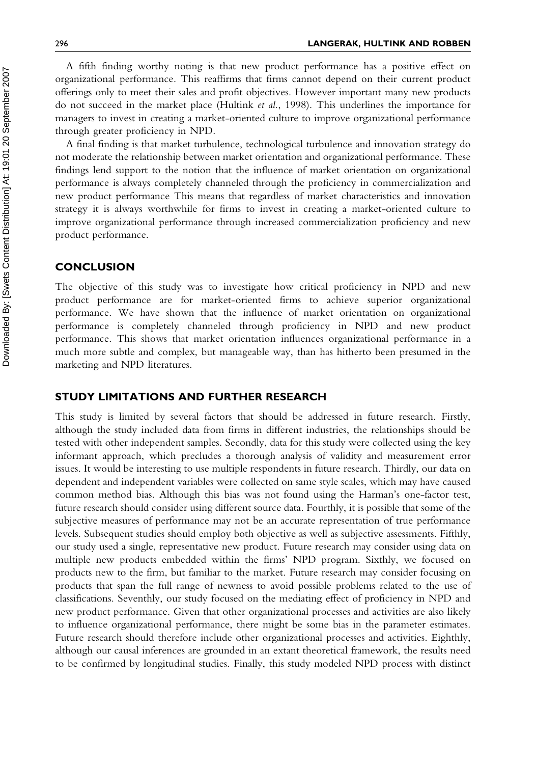A fifth finding worthy noting is that new product performance has a positive effect on organizational performance. This reaffirms that firms cannot depend on their current product offerings only to meet their sales and profit objectives. However important many new products do not succeed in the market place (Hultink *et al.*, 1998). This underlines the importance for managers to invest in creating a market-oriented culture to improve organizational performance through greater proficiency in NPD.

A final finding is that market turbulence, technological turbulence and innovation strategy do not moderate the relationship between market orientation and organizational performance. These findings lend support to the notion that the influence of market orientation on organizational performance is always completely channeled through the proficiency in commercialization and new product performance This means that regardless of market characteristics and innovation strategy it is always worthwhile for firms to invest in creating a market-oriented culture to improve organizational performance through increased commercialization proficiency and new product performance.

### **CONCLUSION**

The objective of this study was to investigate how critical proficiency in NPD and new product performance are for market-oriented firms to achieve superior organizational performance. We have shown that the influence of market orientation on organizational performance is completely channeled through proficiency in NPD and new product performance. This shows that market orientation influences organizational performance in a much more subtle and complex, but manageable way, than has hitherto been presumed in the marketing and NPD literatures.

#### STUDY LIMITATIONS AND FURTHER RESEARCH

This study is limited by several factors that should be addressed in future research. Firstly, although the study included data from firms in different industries, the relationships should be tested with other independent samples. Secondly, data for this study were collected using the key informant approach, which precludes a thorough analysis of validity and measurement error issues. It would be interesting to use multiple respondents in future research. Thirdly, our data on dependent and independent variables were collected on same style scales, which may have caused common method bias. Although this bias was not found using the Harman's one-factor test, future research should consider using different source data. Fourthly, it is possible that some of the subjective measures of performance may not be an accurate representation of true performance levels. Subsequent studies should employ both objective as well as subjective assessments. Fifthly, our study used a single, representative new product. Future research may consider using data on multiple new products embedded within the firms' NPD program. Sixthly, we focused on products new to the firm, but familiar to the market. Future research may consider focusing on products that span the full range of newness to avoid possible problems related to the use of classifications. Seventhly, our study focused on the mediating effect of proficiency in NPD and new product performance. Given that other organizational processes and activities are also likely to influence organizational performance, there might be some bias in the parameter estimates. Future research should therefore include other organizational processes and activities. Eighthly, although our causal inferences are grounded in an extant theoretical framework, the results need to be confirmed by longitudinal studies. Finally, this study modeled NPD process with distinct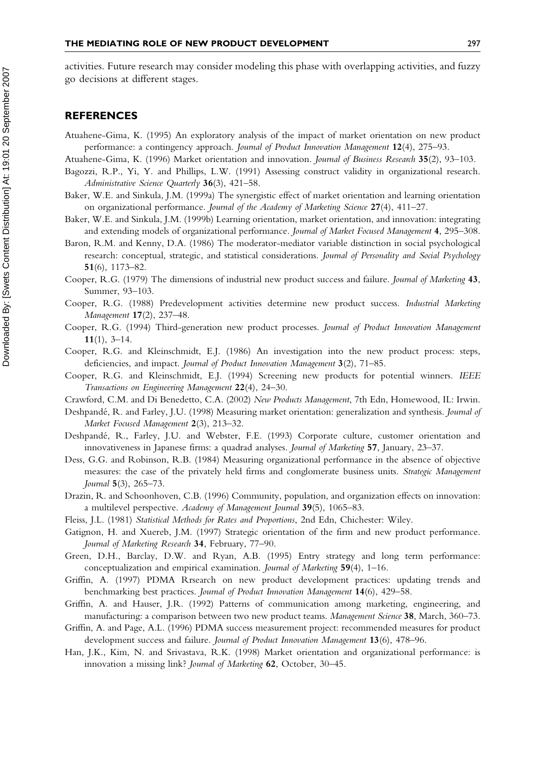activities. Future research may consider modeling this phase with overlapping activities, and fuzzy go decisions at different stages.

## **REFERENCES**

- Atuahene-Gima, K. (1995) An exploratory analysis of the impact of market orientation on new product performance: a contingency approach. Journal of Product Innovation Management 12(4), 275–93.
- Atuahene-Gima, K. (1996) Market orientation and innovation. Journal of Business Research 35(2), 93-103.
- Bagozzi, R.P., Yi, Y. and Phillips, L.W. (1991) Assessing construct validity in organizational research. Administrative Science Quarterly 36(3), 421-58.
- Baker, W.E. and Sinkula, J.M. (1999a) The synergistic effect of market orientation and learning orientation on organizational performance. Journal of the Academy of Marketing Science  $27(4)$ ,  $411-27$ .
- Baker, W.E. and Sinkula, J.M. (1999b) Learning orientation, market orientation, and innovation: integrating and extending models of organizational performance. Journal of Market Focused Management 4, 295–308.
- Baron, R.M. and Kenny, D.A. (1986) The moderator-mediator variable distinction in social psychological research: conceptual, strategic, and statistical considerations. Journal of Personality and Social Psychology 51(6), 1173–82.
- Cooper, R.G. (1979) The dimensions of industrial new product success and failure. Journal of Marketing 43, Summer, 93–103.
- Cooper, R.G. (1988) Predevelopment activities determine new product success. Industrial Marketing Management 17(2), 237–48.
- Cooper, R.G. (1994) Third-generation new product processes. Journal of Product Innovation Management  $11(1), 3-14.$
- Cooper, R.G. and Kleinschmidt, E.J. (1986) An investigation into the new product process: steps, deficiencies, and impact. Journal of Product Innovation Management 3(2), 71–85.
- Cooper, R.G. and Kleinschmidt, E.J. (1994) Screening new products for potential winners. IEEE Transactions on Engineering Management 22(4), 24–30.

Crawford, C.M. and Di Benedetto, C.A. (2002) New Products Management, 7th Edn, Homewood, IL: Irwin.

- Deshpandé, R. and Farley, J.U. (1998) Measuring market orientation: generalization and synthesis. Journal of Market Focused Management 2(3), 213–32.
- Deshpandé, R., Farley, J.U. and Webster, F.E. (1993) Corporate culture, customer orientation and innovativeness in Japanese firms: a quadrad analyses. Journal of Marketing 57, January, 23–37.
- Dess, G.G. and Robinson, R.B. (1984) Measuring organizational performance in the absence of objective measures: the case of the privately held firms and conglomerate business units. Strategic Management Journal 5(3), 265–73.
- Drazin, R. and Schoonhoven, C.B. (1996) Community, population, and organization effects on innovation: a multilevel perspective. Academy of Management Journal 39(5), 1065-83.
- Fleiss, J.L. (1981) Statistical Methods for Rates and Proportions, 2nd Edn, Chichester: Wiley.
- Gatignon, H. and Xuereb, J.M. (1997) Strategic orientation of the firm and new product performance. Journal of Marketing Research 34, February, 77–90.
- Green, D.H., Barclay, D.W. and Ryan, A.B. (1995) Entry strategy and long term performance: conceptualization and empirical examination. Journal of Marketing 59(4), 1–16.
- Griffin, A. (1997) PDMA Rrsearch on new product development practices: updating trends and benchmarking best practices. Journal of Product Innovation Management 14(6), 429–58.
- Griffin, A. and Hauser, J.R. (1992) Patterns of communication among marketing, engineering, and manufacturing: a comparison between two new product teams. Management Science 38, March, 360-73.
- Griffin, A. and Page, A.L. (1996) PDMA success measurement project: recommended measures for product development success and failure. Journal of Product Innovation Management 13(6), 478-96.
- Han, J.K., Kim, N. and Srivastava, R.K. (1998) Market orientation and organizational performance: is innovation a missing link? Journal of Marketing 62, October, 30–45.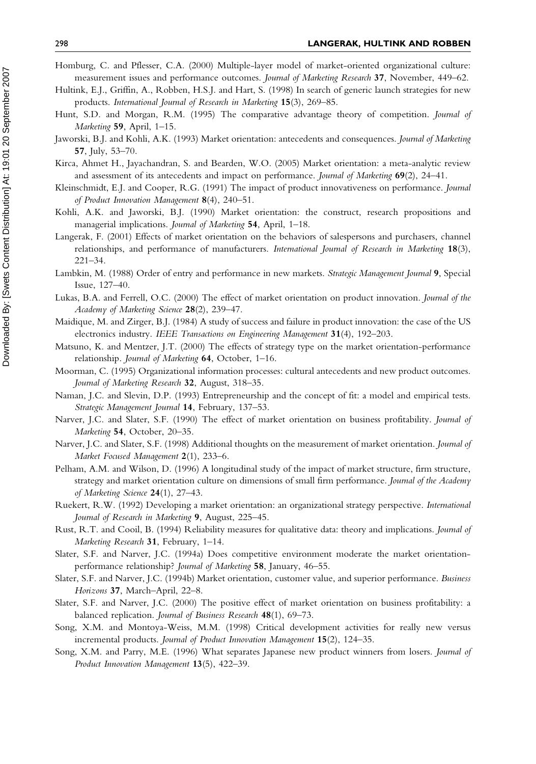- Homburg, C. and Pflesser, C.A. (2000) Multiple-layer model of market-oriented organizational culture: measurement issues and performance outcomes. Journal of Marketing Research 37, November, 449-62.
- Hultink, E.J., Griffin, A., Robben, H.S.J. and Hart, S. (1998) In search of generic launch strategies for new products. International Journal of Research in Marketing 15(3), 269-85.
- Hunt, S.D. and Morgan, R.M. (1995) The comparative advantage theory of competition. Journal of Marketing 59, April, 1–15.
- Jaworski, B.J. and Kohli, A.K. (1993) Market orientation: antecedents and consequences. Journal of Marketing 57, July, 53–70.
- Kirca, Ahmet H., Jayachandran, S. and Bearden, W.O. (2005) Market orientation: a meta-analytic review and assessment of its antecedents and impact on performance. Journal of Marketing  $69(2)$ , 24–41.
- Kleinschmidt, E.J. and Cooper, R.G. (1991) The impact of product innovativeness on performance. Journal of Product Innovation Management 8(4), 240–51.
- Kohli, A.K. and Jaworski, B.J. (1990) Market orientation: the construct, research propositions and managerial implications. Journal of Marketing 54, April, 1–18.
- Langerak, F. (2001) Effects of market orientation on the behaviors of salespersons and purchasers, channel relationships, and performance of manufacturers. International Journal of Research in Marketing 18(3), 221–34.
- Lambkin, M. (1988) Order of entry and performance in new markets. Strategic Management Journal 9, Special Issue, 127–40.
- Lukas, B.A. and Ferrell, O.C. (2000) The effect of market orientation on product innovation. Journal of the Academy of Marketing Science 28(2), 239-47.
- Maidique, M. and Zirger, B.J. (1984) A study of success and failure in product innovation: the case of the US electronics industry. IEEE Transactions on Engineering Management 31(4), 192-203.
- Matsuno, K. and Mentzer, J.T. (2000) The effects of strategy type on the market orientation-performance relationship. Journal of Marketing 64, October, 1–16.
- Moorman, C. (1995) Organizational information processes: cultural antecedents and new product outcomes. Journal of Marketing Research 32, August, 318-35.
- Naman, J.C. and Slevin, D.P. (1993) Entrepreneurship and the concept of fit: a model and empirical tests. Strategic Management Journal 14, February, 137–53.
- Narver, J.C. and Slater, S.F. (1990) The effect of market orientation on business profitability. Journal of Marketing 54, October, 20–35.
- Narver, J.C. and Slater, S.F. (1998) Additional thoughts on the measurement of market orientation. Journal of Market Focused Management 2(1), 233-6.
- Pelham, A.M. and Wilson, D. (1996) A longitudinal study of the impact of market structure, firm structure, strategy and market orientation culture on dimensions of small firm performance. Journal of the Academy of Marketing Science 24(1), 27–43.
- Ruekert, R.W. (1992) Developing a market orientation: an organizational strategy perspective. International Journal of Research in Marketing 9, August, 225–45.
- Rust, R.T. and Cooil, B. (1994) Reliability measures for qualitative data: theory and implications. Journal of Marketing Research 31, February, 1–14.
- Slater, S.F. and Narver, J.C. (1994a) Does competitive environment moderate the market orientationperformance relationship? Journal of Marketing 58, January, 46–55.
- Slater, S.F. and Narver, J.C. (1994b) Market orientation, customer value, and superior performance. Business Horizons 37, March–April, 22–8.
- Slater, S.F. and Narver, J.C. (2000) The positive effect of market orientation on business profitability: a balanced replication. Journal of Business Research 48(1), 69-73.
- Song, X.M. and Montoya-Weiss, M.M. (1998) Critical development activities for really new versus incremental products. Journal of Product Innovation Management 15(2), 124–35.
- Song, X.M. and Parry, M.E. (1996) What separates Japanese new product winners from losers. Journal of Product Innovation Management 13(5), 422-39.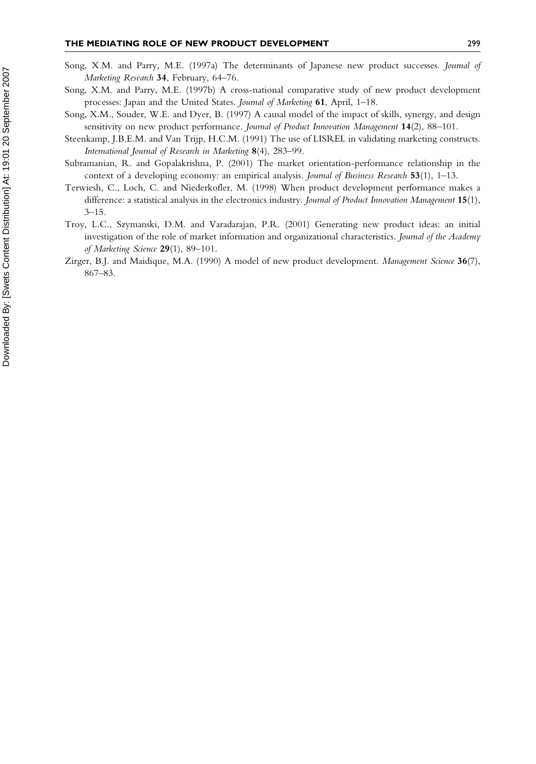#### THE MEDIATING ROLE OF NEW PRODUCT DEVELOPMENT **THE MEDIATING** 299

- Song, X.M. and Parry, M.E. (1997a) The determinants of Japanese new product successes. Journal of Marketing Research 34, February, 64–76.
- Song, X.M. and Parry, M.E. (1997b) A cross-national comparative study of new product development processes: Japan and the United States. Journal of Marketing 61, April, 1–18.
- Song, X.M., Souder, W.E. and Dyer, B. (1997) A causal model of the impact of skills, synergy, and design sensitivity on new product performance. Journal of Product Innovation Management 14(2), 88-101.
- Steenkamp, J.B.E.M. and Van Trijp, H.C.M. (1991) The use of LISREL in validating marketing constructs. International Journal of Research in Marketing 8(4), 283–99.
- Subramanian, R. and Gopalakrishna, P. (2001) The market orientation-performance relationship in the context of a developing economy: an empirical analysis. Journal of Business Research 53(1), 1-13.
- Terwiesh, C., Loch, C. and Niederkofler, M. (1998) When product development performance makes a difference: a statistical analysis in the electronics industry. Journal of Product Innovation Management 15(1),  $3 - 15$ .
- Troy, L.C., Szymanski, D.M. and Varadarajan, P.R. (2001) Generating new product ideas: an initial investigation of the role of market information and organizational characteristics. Journal of the Academy of Marketing Science 29(1), 89–101.
- Zirger, B.J. and Maidique, M.A. (1990) A model of new product development. Management Science 36(7), 867–83.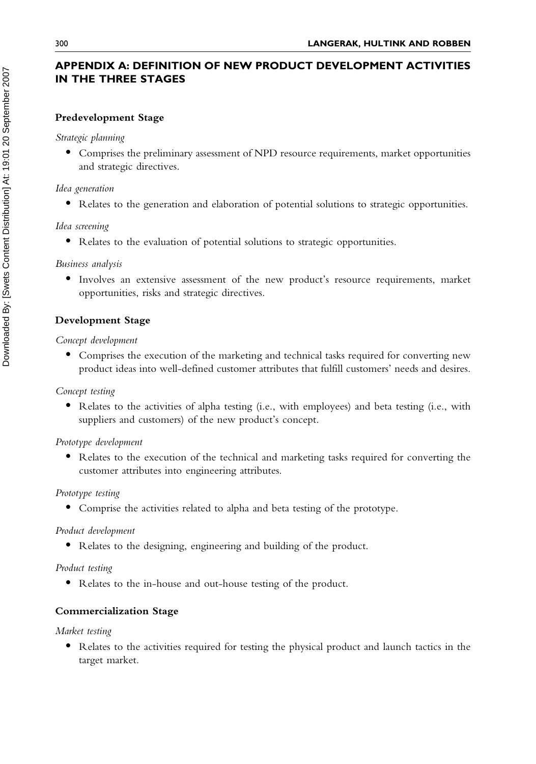# APPENDIX A: DEFINITION OF NEW PRODUCT DEVELOPMENT ACTIVITIES IN THE THREE STAGES

# Predevelopment Stage

### Strategic planning

N Comprises the preliminary assessment of NPD resource requirements, market opportunities and strategic directives.

# Idea generation

• Relates to the generation and elaboration of potential solutions to strategic opportunities.

# Idea screening

• Relates to the evaluation of potential solutions to strategic opportunities.

# Business analysis

N Involves an extensive assessment of the new product's resource requirements, market opportunities, risks and strategic directives.

# Development Stage

# Concept development

• Comprises the execution of the marketing and technical tasks required for converting new product ideas into well-defined customer attributes that fulfill customers' needs and desires.

# Concept testing

• Relates to the activities of alpha testing (i.e., with employees) and beta testing (i.e., with suppliers and customers) of the new product's concept.

# Prototype development

• Relates to the execution of the technical and marketing tasks required for converting the customer attributes into engineering attributes.

# Prototype testing

• Comprise the activities related to alpha and beta testing of the prototype.

### Product development

• Relates to the designing, engineering and building of the product.

# Product testing

• Relates to the in-house and out-house testing of the product.

# Commercialization Stage

### Market testing

N Relates to the activities required for testing the physical product and launch tactics in the target market.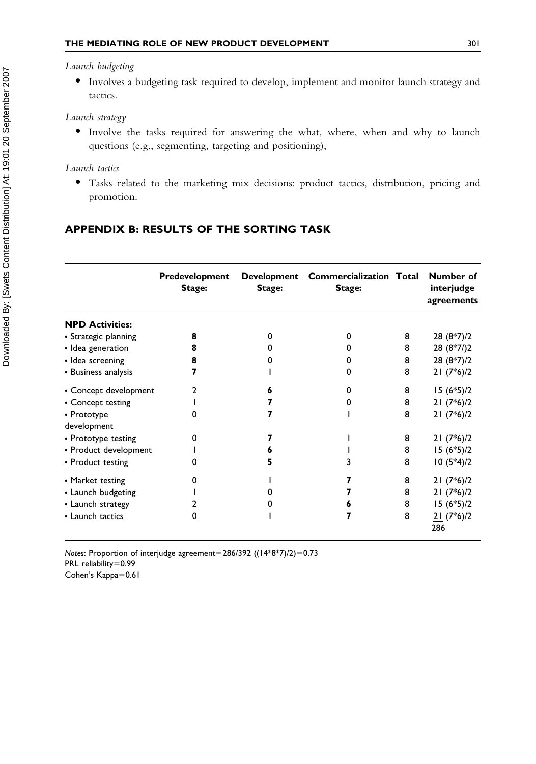#### Launch budgeting

N Involves a budgeting task required to develop, implement and monitor launch strategy and tactics.

# Launch strategy

• Involve the tasks required for answering the what, where, when and why to launch questions (e.g., segmenting, targeting and positioning),

# Launch tactics

N Tasks related to the marketing mix decisions: product tactics, distribution, pricing and promotion.

# APPENDIX B: RESULTS OF THE SORTING TASK

|                        | Predevelopment<br>Stage: | Stage: | Development Commercialization Total<br>Stage: |   | Number of<br>interjudge<br>agreements |
|------------------------|--------------------------|--------|-----------------------------------------------|---|---------------------------------------|
| <b>NPD Activities:</b> |                          |        |                                               |   |                                       |
| • Strategic planning   | 8                        | 0      | 0                                             | 8 | 28 (8*7)/2                            |
| • Idea generation      | 8                        | 0      | 0                                             | 8 | 28 (8*7/)2                            |
| • Idea screening       | 8                        | o      | 0                                             | 8 | 28 (8*7)/2                            |
| • Business analysis    |                          |        | 0                                             | 8 | $21 (7*6)/2$                          |
| • Concept development  | 2                        | 6      | 0                                             | 8 | $15(6*5)/2$                           |
| • Concept testing      |                          |        | 0                                             | 8 | $21 (7*6)/2$                          |
| • Prototype            |                          |        |                                               | 8 | $21 (7*6)/2$                          |
| development            |                          |        |                                               |   |                                       |
| • Prototype testing    | 0                        |        |                                               | 8 | $21 (7*6)/2$                          |
| • Product development  |                          | n      |                                               | 8 | $15(6*5)/2$                           |
| • Product testing      |                          | 5      | 3                                             | 8 | $10(5*4)/2$                           |
| • Market testing       | 0                        |        |                                               | 8 | $21 (7*6)/2$                          |
| • Launch budgeting     |                          | o      |                                               | 8 | $21 (7*6)/2$                          |
| • Launch strategy      | 2                        | o      | 6                                             | 8 | $15(6*5)/2$                           |
| • Launch tactics       | O                        |        |                                               | 8 | $21 (7*6)/2$<br>286                   |

Notes: Proportion of interjudge agreement=286/392 ((14\*8\*7)/2)=0.73 PRL reliability=0.99

Cohen's Kappa=0.61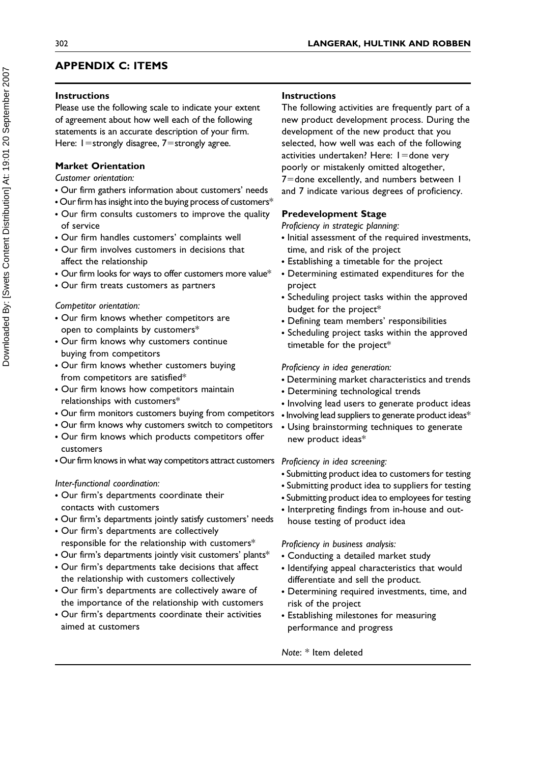Please use the following scale to indicate your extent of agreement about how well each of the following statements is an accurate description of your firm. Here:  $1 =$ strongly disagree,  $7 =$ strongly agree.

# Market Orientation

Customer orientation:

- Our firm gathers information about customers' needs
- Our firm has insight into the buying process of customers\*
- Our firm consults customers to improve the quality of service
- Our firm handles customers' complaints well
- Our firm involves customers in decisions that affect the relationship
- Our firm looks for ways to offer customers more value\*
- Our firm treats customers as partners

Competitor orientation:

- Our firm knows whether competitors are open to complaints by customers\*
- Our firm knows why customers continue buying from competitors
- Our firm knows whether customers buying from competitors are satisfied\*
- Our firm knows how competitors maintain relationships with customers\*
- Our firm monitors customers buying from competitors
- Our firm knows why customers switch to competitors
- Our firm knows which products competitors offer customers
- Our firm knows in what way competitors attract customers Proficiency in idea screening:

### Inter-functional coordination:

- Our firm's departments coordinate their contacts with customers
- Our firm's departments jointly satisfy customers' needs
- Our firm's departments are collectively responsible for the relationship with customers\*
- Our firm's departments jointly visit customers' plants\*
- Our firm's departments take decisions that affect the relationship with customers collectively
- Our firm's departments are collectively aware of the importance of the relationship with customers
- Our firm's departments coordinate their activities aimed at customers

#### Instructions Instructions

The following activities are frequently part of a new product development process. During the development of the new product that you selected, how well was each of the following activities undertaken? Here: 1=done very poorly or mistakenly omitted altogether, 7=done excellently, and numbers between 1 and 7 indicate various degrees of proficiency.

# Predevelopment Stage

Proficiency in strategic planning:

- Initial assessment of the required investments, time, and risk of the project
- Establishing a timetable for the project
- Determining estimated expenditures for the project
- Scheduling project tasks within the approved budget for the project\*
- Defining team members' responsibilities
- Scheduling project tasks within the approved timetable for the project\*

#### Proficiency in idea generation:

- Determining market characteristics and trends
- Determining technological trends
- Involving lead users to generate product ideas
- Involving lead suppliers to generate product ideas\*
- Using brainstorming techniques to generate new product ideas\*

- Submitting product idea to customers for testing
- Submitting product idea to suppliers for testing
- Submitting product idea to employees for testing
- Interpreting findings from in-house and outhouse testing of product idea

#### Proficiency in business analysis:

- Conducting a detailed market study
- Identifying appeal characteristics that would differentiate and sell the product.
- Determining required investments, time, and risk of the project
- Establishing milestones for measuring performance and progress

Note: \* Item deleted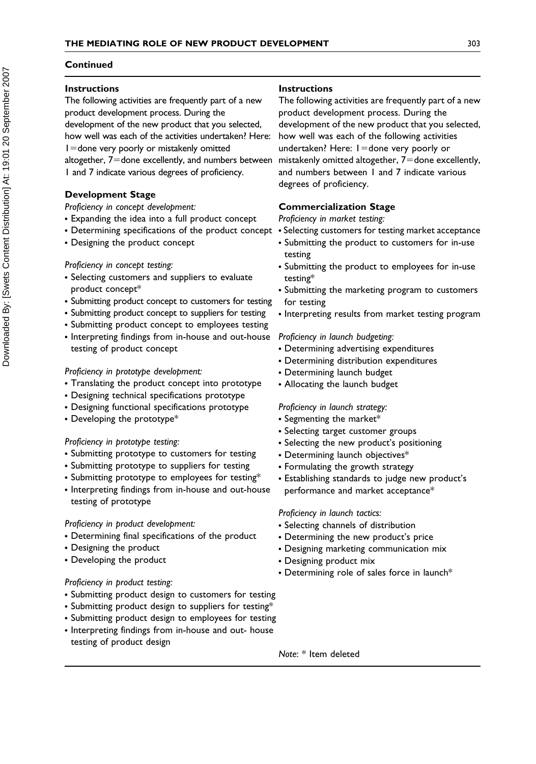# **Continued**

#### Instructions Instructions

The following activities are frequently part of a new product development process. During the development of the new product that you selected, how well was each of the activities undertaken? Here:  $1 =$ done very poorly or mistakenly omitted altogether,  $7=$  done excellently, and numbers between 1 and 7 indicate various degrees of proficiency.

#### Development Stage

Proficiency in concept development:

- Expanding the idea into a full product concept
- Determining specifications of the product concept
- Designing the product concept

#### Proficiency in concept testing:

- Selecting customers and suppliers to evaluate product concept\*
- Submitting product concept to customers for testing
- Submitting product concept to suppliers for testing
- Submitting product concept to employees testing
- Interpreting findings from in-house and out-house testing of product concept

#### Proficiency in prototype development:

- Translating the product concept into prototype
- Designing technical specifications prototype
- Designing functional specifications prototype
- $\cdot$  Developing the prototype $^*$

#### Proficiency in prototype testing:

- Submitting prototype to customers for testing
- Submitting prototype to suppliers for testing
- Submitting prototype to employees for testing\*
- Interpreting findings from in-house and out-house testing of prototype

#### Proficiency in product development:

- Determining final specifications of the product
- Designing the product
- Developing the product

#### Proficiency in product testing:

- Submitting product design to customers for testing
- Submitting product design to suppliers for testing\*
- Submitting product design to employees for testing
- Interpreting findings from in-house and out- house testing of product design

The following activities are frequently part of a new product development process. During the development of the new product that you selected, how well was each of the following activities undertaken? Here: 1=done very poorly or mistakenly omitted altogether,  $7=$  done excellently, and numbers between 1 and 7 indicate various degrees of proficiency.

#### Commercialization Stage

Proficiency in market testing:

- Selecting customers for testing market acceptance
- Submitting the product to customers for in-use testing
- Submitting the product to employees for in-use testing\*
- Submitting the marketing program to customers for testing
- Interpreting results from market testing program

#### Proficiency in launch budgeting:

- Determining advertising expenditures
- Determining distribution expenditures
- Determining launch budget
- Allocating the launch budget

#### Proficiency in launch strategy:

- $\cdot$  Segmenting the market<sup>\*</sup>
- Selecting target customer groups
- Selecting the new product's positioning
- $\cdot$  Determining launch objectives $^*$
- Formulating the growth strategy
- Establishing standards to judge new product's performance and market acceptance\*

#### Proficiency in launch tactics:

- Selecting channels of distribution
- Determining the new product's price
- Designing marketing communication mix
- Designing product mix
- Determining role of sales force in launch\*

Note: \* Item deleted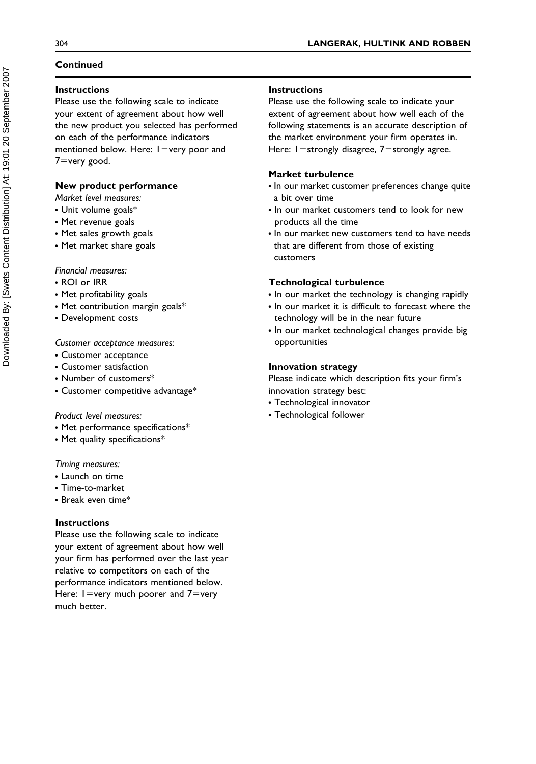# **Continued**

# Instructions Instructions

Please use the following scale to indicate your extent of agreement about how well the new product you selected has performed on each of the performance indicators mentioned below. Here:  $1=$ very poor and  $7 =$ very good.

# New product performance

Market level measures:

- $\cdot$  Unit volume goals\*
- Met revenue goals
- Met sales growth goals
- Met market share goals

Financial measures:

- ROI or IRR
- Met profitability goals
- Met contribution margin goals\*
- Development costs

# Customer acceptance measures:

- Customer acceptance
- Customer satisfaction
- Number of customers\*
- $\cdot$  Customer competitive advantage\*

### Product level measures:

- Met performance specifications\*
- $\bullet$  Met quality specifications\*

### Timing measures:

- Launch on time
- Time-to-market
- $\cdot$  Break even time\*

# **Instructions**

Please use the following scale to indicate your extent of agreement about how well your firm has performed over the last year relative to competitors on each of the performance indicators mentioned below. Here:  $1=$ very much poorer and  $7=$ very much better.

Please use the following scale to indicate your extent of agreement about how well each of the following statements is an accurate description of the market environment your firm operates in. Here:  $1 =$ strongly disagree,  $7 =$ strongly agree.

# Market turbulence

- In our market customer preferences change quite a bit over time
- In our market customers tend to look for new products all the time
- In our market new customers tend to have needs that are different from those of existing customers

# Technological turbulence

- In our market the technology is changing rapidly
- In our market it is difficult to forecast where the technology will be in the near future
- In our market technological changes provide big opportunities

# Innovation strategy

Please indicate which description fits your firm's innovation strategy best:

- Technological innovator
- Technological follower